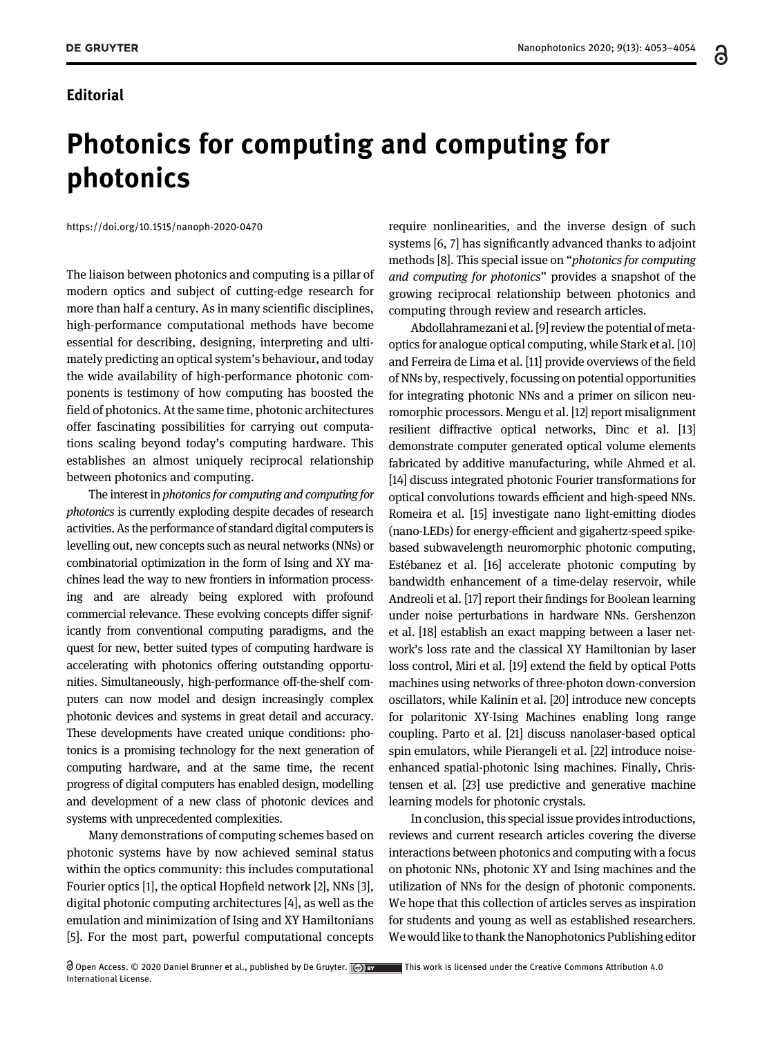෬

## Editorial

## Photonics for computing and computing for photonics

<https://doi.org/10.1515/nanoph-2020-0470>

The liaison between photonics and computing is a pillar of modern optics and subject of cutting-edge research for more than half a century. As in many scientific disciplines, high-performance computational methods have become essential for describing, designing, interpreting and ultimately predicting an optical system's behaviour, and today the wide availability of high-performance photonic components is testimony of how computing has boosted the field of photonics. At the same time, photonic architectures offer fascinating possibilities for carrying out computations scaling beyond today's computing hardware. This establishes an almost uniquely reciprocal relationship between photonics and computing.

The interest in photonics for computing and computing for photonics is currently exploding despite decades of research activities. As the performance of standard digital computers is levelling out, new concepts such as neural networks (NNs) or combinatorial optimization in the form of Ising and XY machines lead the way to new frontiers in information processing and are already being explored with profound commercial relevance. These evolving concepts differ significantly from conventional computing paradigms, and the quest for new, better suited types of computing hardware is accelerating with photonics offering outstanding opportunities. Simultaneously, high-performance off-the-shelf computers can now model and design increasingly complex photonic devices and systems in great detail and accuracy. These developments have created unique conditions: photonics is a promising technology for the next generation of computing hardware, and at the same time, the recent progress of digital computers has enabled design, modelling and development of a new class of photonic devices and systems with unprecedented complexities.

Many demonstrations of computing schemes based on photonic systems have by now achieved seminal status within the optics community: this includes computational Fourier optics [[1\]](#page-1-0), the optical Hopfield network [[2](#page-1-1)], NNs [\[3\]](#page-1-2), digital photonic computing architectures [\[4](#page-1-3)], as well as the emulation and minimization of Ising and XY Hamiltonians [[5](#page-1-4)]. For the most part, powerful computational concepts

Open Access. © 2020 Daniel Brunner et al., published by De Gruyter. (ce) by This work is licensed under the Creative Commons Attribution 4.0 International License.

require nonlinearities, and the inverse design of such systems [[6, 7](#page-1-5)] has significantly advanced thanks to adjoint methods [\[8](#page-1-6)]. This special issue on "photonics for computing and computing for photonics" provides a snapshot of the growing reciprocal relationship between photonics and computing through review and research articles.

Abdollahramezani et al. [[9\]](#page-1-7) review the potential of metaoptics for analogue optical computing, while Stark et al. [\[10](#page-1-8)] and Ferreira de Lima et al. [\[11](#page-1-9)] provide overviews of the field of NNs by, respectively, focussing on potential opportunities for integrating photonic NNs and a primer on silicon neuromorphic processors. Mengu et al. [\[12\]](#page-1-10) report misalignment resilient diffractive optical networks, Dinc et al. [\[13](#page-1-11)] demonstrate computer generated optical volume elements fabricated by additive manufacturing, while Ahmed et al. [\[14\]](#page-1-12) discuss integrated photonic Fourier transformations for optical convolutions towards efficient and high-speed NNs. Romeira et al. [\[15](#page-1-13)] investigate nano light-emitting diodes (nano-LEDs) for energy-efficient and gigahertz-speed spikebased subwavelength neuromorphic photonic computing, Estébanez et al. [\[16\]](#page-1-14) accelerate photonic computing by bandwidth enhancement of a time-delay reservoir, while Andreoli et al. [\[17](#page-1-15)] report their findings for Boolean learning under noise perturbations in hardware NNs. Gershenzon et al. [\[18\]](#page-1-16) establish an exact mapping between a laser network's loss rate and the classical XY Hamiltonian by laser loss control, Miri et al. [\[19\]](#page-1-17) extend the field by optical Potts machines using networks of three-photon down-conversion oscillators, while Kalinin et al. [[20](#page-1-18)] introduce new concepts for polaritonic XY-Ising Machines enabling long range coupling. Parto et al. [\[21\]](#page-1-19) discuss nanolaser-based optical spin emulators, while Pierangeli et al. [[22\]](#page-1-20) introduce noiseenhanced spatial-photonic Ising machines. Finally, Christensen et al. [\[23\]](#page-1-21) use predictive and generative machine learning models for photonic crystals.

In conclusion, this special issue provides introductions, reviews and current research articles covering the diverse interactions between photonics and computing with a focus on photonic NNs, photonic XY and Ising machines and the utilization of NNs for the design of photonic components. We hope that this collection of articles serves as inspiration for students and young as well as established researchers. We would like to thank the Nanophotonics Publishing editor